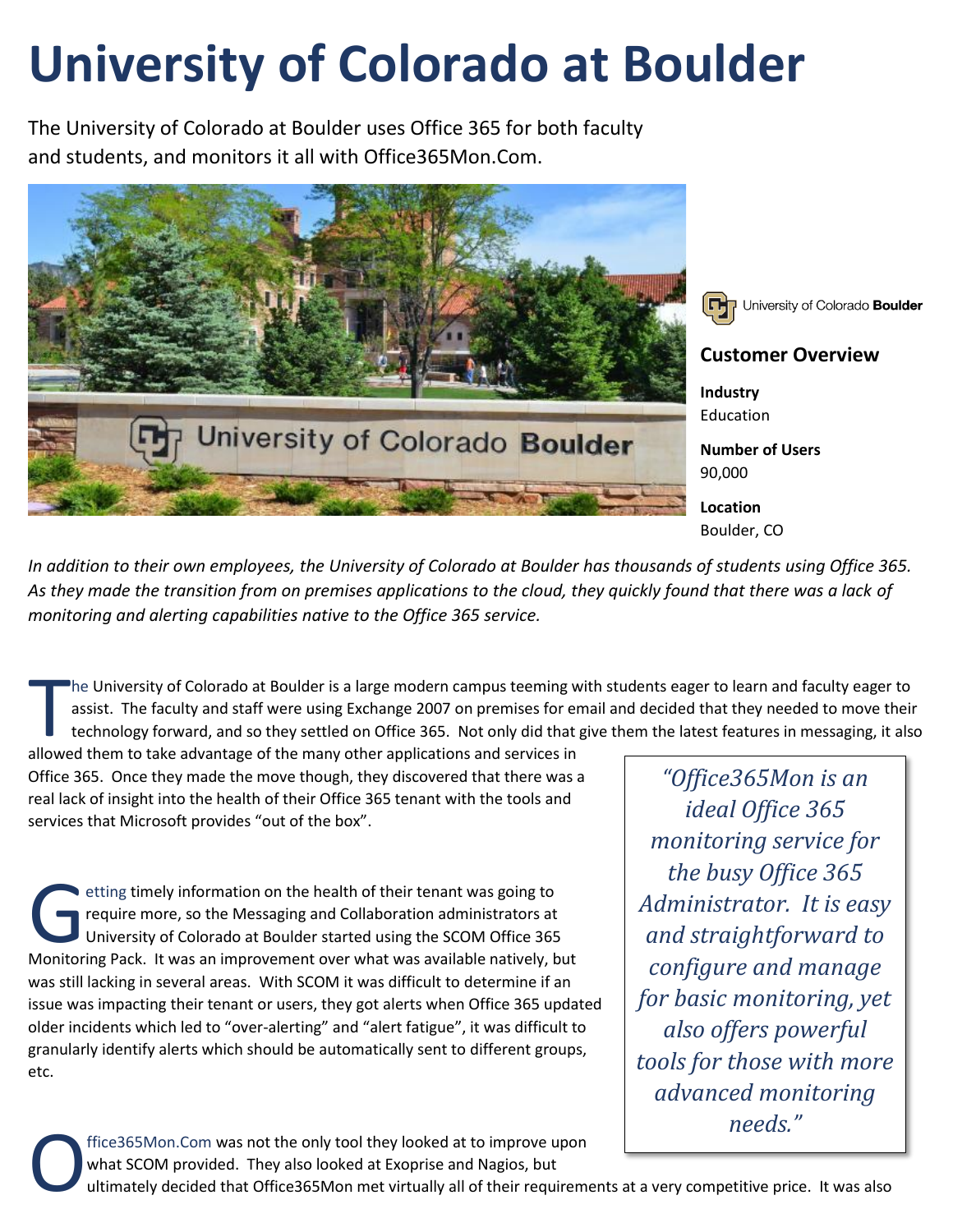## **University of Colorado at Boulder**

The University of Colorado at Boulder uses Office 365 for both faculty and students, and monitors it all with Office365Mon.Com.



University of Colorado Boulder

## **Customer Overview**

**Industry** Education

**Number of Users** 90,000

**Location** Boulder, CO

*In addition to their own employees, the University of Colorado at Boulder has thousands of students using Office 365. As they made the transition from on premises applications to the cloud, they quickly found that there was a lack of monitoring and alerting capabilities native to the Office 365 service.*

he University of Colorado at Boulder is a large modern campus teeming with students eager to learn and faculty eager to assist. The faculty and staff were using Exchange 2007 on premises for email and decided that they needed to move their technology forward, and so they settled on Office 365. Not only did that give them the latest features in messaging, it also The University of Colorado at Boulder is a large modern campus teeming w<br>assist. The faculty and staff were using Exchange 2007 on premises for er<br>technology forward, and so they settled on Office 365. Not only did that<br>al

Office 365. Once they made the move though, they discovered that there was a real lack of insight into the health of their Office 365 tenant with the tools and services that Microsoft provides "out of the box".

etting timely information on the health of their tenant was going to require more, so the Messaging and Collaboration administrators at University of Colorado at Boulder started using the SCOM Office 365 etting timely information on the health of their tenant was going to<br>require more, so the Messaging and Collaboration administrators at<br>University of Colorado at Boulder started using the SCOM Office 365<br>Monitoring Pack. I was still lacking in several areas. With SCOM it was difficult to determine if an issue was impacting their tenant or users, they got alerts when Office 365 updated older incidents which led to "over-alerting" and "alert fatigue", it was difficult to granularly identify alerts which should be automatically sent to different groups, etc.

*"Office365Mon is an ideal Office 365 monitoring service for the busy Office 365 Administrator. It is easy and straightforward to configure and manage for basic monitoring, yet also offers powerful tools for those with more advanced monitoring needs."*

ffice365Mon.Com was not the only tool they looked at to improve upon what SCOM provided. They also looked at Exoprise and Nagios, but O

ultimately decided that Office365Mon met virtually all of their requirements at a very competitive price. It was also